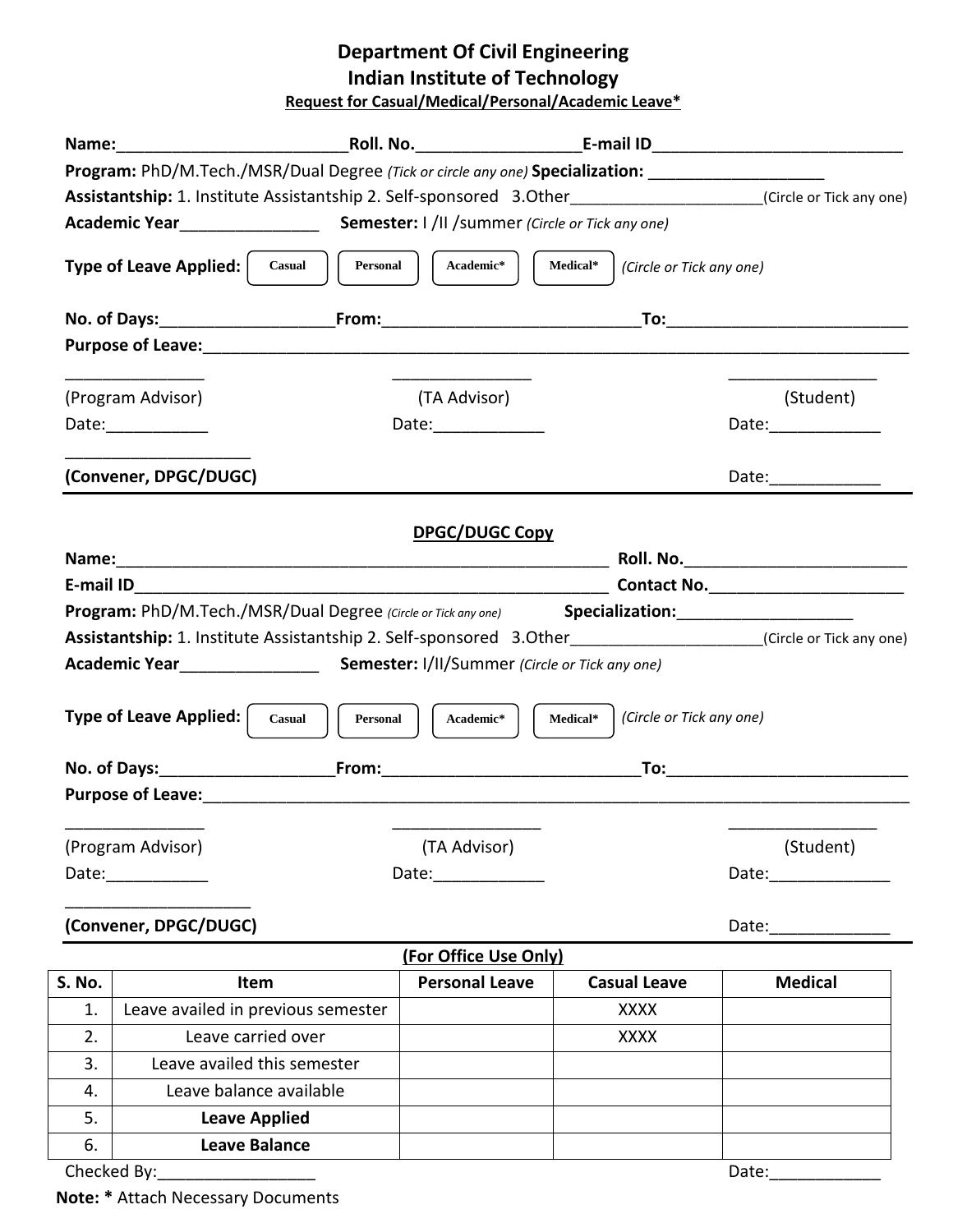# **Department Of Civil Engineering Indian Institute of Technology**

**Request for Casual/Medical/Personal/Academic Leave\***

|                                                                                                                                                                                                                                                                           | Program: PhD/M.Tech./MSR/Dual Degree (Tick or circle any one) Specialization: _____________________            |                       |                     |                      |
|---------------------------------------------------------------------------------------------------------------------------------------------------------------------------------------------------------------------------------------------------------------------------|----------------------------------------------------------------------------------------------------------------|-----------------------|---------------------|----------------------|
|                                                                                                                                                                                                                                                                           | Assistantship: 1. Institute Assistantship 2. Self-sponsored 3.Other___________________(Circle or Tick any one) |                       |                     |                      |
|                                                                                                                                                                                                                                                                           |                                                                                                                |                       |                     |                      |
| Type of Leave Applied:  <br>Personal  <br>Academic*<br>Medical*<br>(Circle or Tick any one)<br>Casual                                                                                                                                                                     |                                                                                                                |                       |                     |                      |
|                                                                                                                                                                                                                                                                           |                                                                                                                |                       |                     |                      |
|                                                                                                                                                                                                                                                                           |                                                                                                                |                       |                     |                      |
|                                                                                                                                                                                                                                                                           |                                                                                                                |                       |                     |                      |
|                                                                                                                                                                                                                                                                           | (Program Advisor)                                                                                              | (TA Advisor)          |                     | (Student)            |
|                                                                                                                                                                                                                                                                           | Date:_____________                                                                                             | Date:______________   |                     | Date: _____________  |
|                                                                                                                                                                                                                                                                           | (Convener, DPGC/DUGC)                                                                                          |                       |                     | Date:_______________ |
| <b>DPGC/DUGC Copy</b>                                                                                                                                                                                                                                                     |                                                                                                                |                       |                     |                      |
|                                                                                                                                                                                                                                                                           |                                                                                                                |                       |                     |                      |
|                                                                                                                                                                                                                                                                           |                                                                                                                |                       |                     |                      |
|                                                                                                                                                                                                                                                                           | Program: PhD/M.Tech./MSR/Dual Degree (Circle or Tick any one) Specialization: 1992 1994                        |                       |                     |                      |
| Assistantship: 1. Institute Assistantship 2. Self-sponsored 3.Other___________________(Circle or Tick any one)                                                                                                                                                            |                                                                                                                |                       |                     |                      |
|                                                                                                                                                                                                                                                                           |                                                                                                                |                       |                     |                      |
| Type of Leave Applied:  <br>(Circle or Tick any one)<br>Personal  <br>Academic*<br>Casual<br>Medical*                                                                                                                                                                     |                                                                                                                |                       |                     |                      |
|                                                                                                                                                                                                                                                                           |                                                                                                                |                       |                     |                      |
|                                                                                                                                                                                                                                                                           |                                                                                                                |                       |                     |                      |
|                                                                                                                                                                                                                                                                           |                                                                                                                |                       |                     |                      |
|                                                                                                                                                                                                                                                                           | (Program Advisor)                                                                                              | (TA Advisor)          |                     | (Student)            |
| Date:____________<br>Date:_____________<br>Date: the contract of the contract of the contract of the contract of the contract of the contract of the contract of the contract of the contract of the contract of the contract of the contract of the contract of the cont |                                                                                                                |                       |                     |                      |
| (Convener, DPGC/DUGC)<br>Date:                                                                                                                                                                                                                                            |                                                                                                                |                       |                     |                      |
|                                                                                                                                                                                                                                                                           |                                                                                                                | (For Office Use Only) |                     |                      |
| S. No.                                                                                                                                                                                                                                                                    | Item                                                                                                           | <b>Personal Leave</b> | <b>Casual Leave</b> | <b>Medical</b>       |
| 1.                                                                                                                                                                                                                                                                        | Leave availed in previous semester                                                                             |                       | <b>XXXX</b>         |                      |
| 2.                                                                                                                                                                                                                                                                        | Leave carried over                                                                                             |                       | <b>XXXX</b>         |                      |
| 3.                                                                                                                                                                                                                                                                        | Leave availed this semester                                                                                    |                       |                     |                      |
| 4.                                                                                                                                                                                                                                                                        | Leave balance available                                                                                        |                       |                     |                      |
| 5.                                                                                                                                                                                                                                                                        | <b>Leave Applied</b>                                                                                           |                       |                     |                      |
| 6.                                                                                                                                                                                                                                                                        | <b>Leave Balance</b>                                                                                           |                       |                     |                      |
|                                                                                                                                                                                                                                                                           | Checked By: Checked By:                                                                                        |                       |                     | Date:                |

**Note: \*** Attach Necessary Documents